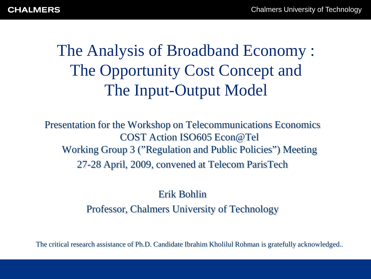The Analysis of Broadband Economy : The Opportunity Cost Concept and The Input-Output Model

Presentation for the Workshop on Telecommunications Economics COST Action ISO605 Econ@Tel Working Group 3 ("Regulation and Public Policies") Meeting 27-28 April, 2009, convened at Telecom ParisTech

### Erik Bohlin Professor, Chalmers University of Technology

The critical research assistance of Ph.D. Candidate Ibrahim Kholilul Rohman is gratefully acknowledged..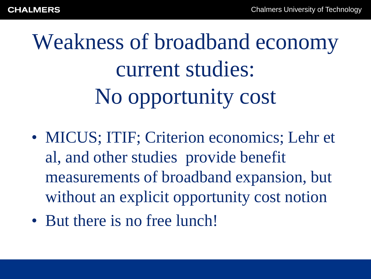Weakness of broadband economy current studies: No opportunity cost

- MICUS; ITIF; Criterion economics; Lehr et al, and other studies provide benefit measurements of broadband expansion, but without an explicit opportunity cost notion
- But there is no free lunch!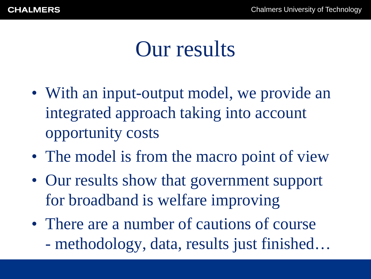## Our results

- With an input-output model, we provide an integrated approach taking into account opportunity costs
- The model is from the macro point of view
- Our results show that government support for broadband is welfare improving
- There are a number of cautions of course - methodology, data, results just finished…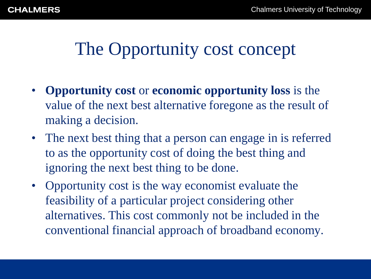## The Opportunity cost concept

- **Opportunity cost** or **economic opportunity loss** is the value of the next best alternative foregone as the result of making a decision.
- The next best thing that a person can engage in is referred to as the opportunity cost of doing the best thing and ignoring the next best thing to be done.
- Opportunity cost is the way economist evaluate the feasibility of a particular project considering other alternatives. This cost commonly not be included in the conventional financial approach of broadband economy.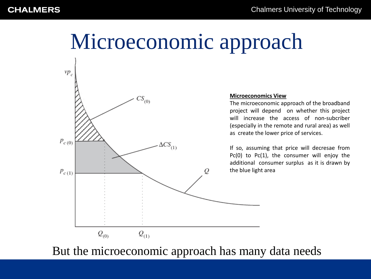# Microeconomic approach



#### **Microeconomics View**

The microeconomic approach of the broadband project will depend on whether this project will increase the access of non-subcriber (especially in the remote and rural area) as well as create the lower price of services.

If so, assuming that price will decresae from Pc(0) to Pc(1), the consumer will enjoy the additional consumer surplus as it is drawn by the blue light area

But the microeconomic approach has many data needs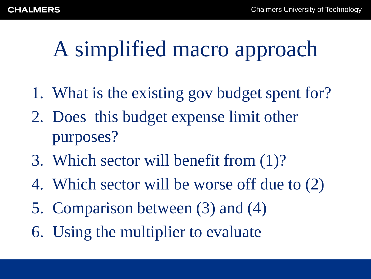# A simplified macro approach

- 1. What is the existing gov budget spent for?
- 2. Does this budget expense limit other purposes?
- 3. Which sector will benefit from (1)?
- 4. Which sector will be worse off due to (2)
- 5. Comparison between (3) and (4)
- 6. Using the multiplier to evaluate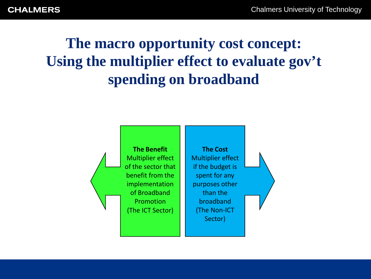**CHALMERS** 

**The macro opportunity cost concept: Using the multiplier effect to evaluate gov't spending on broadband**

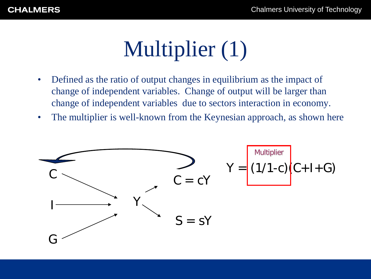# Multiplier (1)

- Defined as the ratio of output changes in equilibrium as the impact of change of independent variables. Change of output will be larger than change of independent variables due to sectors interaction in economy.
- The multiplier is well-known from the Keynesian approach, as shown here

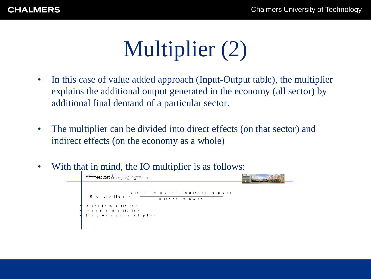# Multiplier (2)

- In this case of value added approach (Input-Output table), the multiplier explains the additional output generated in the economy (all sector) by additional final demand of a particular sector.
- The multiplier can be divided into direct effects (on that sector) and indirect effects (on the economy as a whole)
- With that in mind, the IO multiplier is as follows:

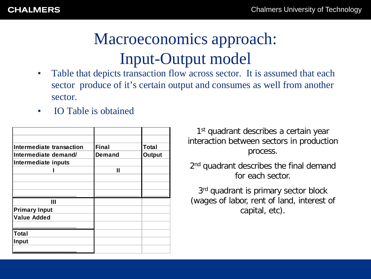## Macroeconomics approach: Input-Output model

- Table that depicts transaction flow across sector. It is assumed that each sector produce of it's certain output and consumes as well from another sector.
- **IO Table is obtained**

| Intermediate transaction | <b>Final</b>  | <b>Total</b>  |
|--------------------------|---------------|---------------|
| Intermediate demand/     | <b>Demand</b> | <b>Output</b> |
| Intermediate inputs      |               |               |
|                          | Ш             |               |
|                          |               |               |
|                          |               |               |
|                          |               |               |
| Ш                        |               |               |
| <b>Primary Input</b>     |               |               |
| <b>Value Added</b>       |               |               |
|                          |               |               |
| Total                    |               |               |
| Input                    |               |               |
|                          |               |               |

1<sup>st</sup> quadrant describes a certain year interaction between sectors in production process.

2<sup>nd</sup> quadrant describes the final demand for each sector.

3<sup>rd</sup> quadrant is primary sector block (wages of labor, rent of land, interest of capital, etc).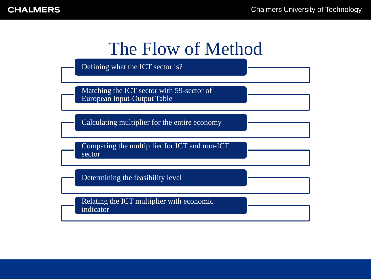### The Flow of Method

Defining what the ICT sector is?

Matching the ICT sector with 59-sector of European Input-Output Table

Calculating multiplier for the entire economy

Comparing the multipllier for ICT and non-ICT sector

Determining the feasibility level

Relating the ICT multiplier with economic indicator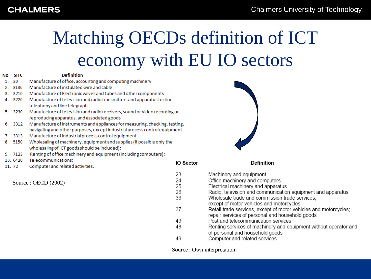#### **CHALMERS**

## Matching OECDs definition of ICT economy with EU IO sectors

| No | <b>SITC</b> | <b>Definition</b>                                                                                                                                         |                  |
|----|-------------|-----------------------------------------------------------------------------------------------------------------------------------------------------------|------------------|
| 1. | 30          | Manufacture of office, accounting and computing machinery                                                                                                 |                  |
| 2. | 3130        | Manufacture of instulated wire and cable                                                                                                                  |                  |
| з. | 3210        | Manufacture of Electronic valves and tubes and other components                                                                                           |                  |
| 4. | 3220        | Manufacture of television and radio transmitters and apparatus for line                                                                                   |                  |
|    |             | telephony and line telegraph                                                                                                                              |                  |
| 5. | 3230        | Manufacture of television and radio receivers, sound or video recording or                                                                                |                  |
|    |             | reproducing apparatus, and associated goods                                                                                                               |                  |
| 6. | 3312        | Manufacture of instruments and appliances for measuring, checking, testing,<br>navigating and other purposes, except industrial process control equipment |                  |
| 7. | 3313        | Manufacture of industrial process control equipment                                                                                                       |                  |
| 8. | 5150        | Wholesaling of machinery, equipment and supplies (if possible only the                                                                                    |                  |
|    |             | wholesaling of ICT goods should be included);                                                                                                             |                  |
|    | 9. 7123     | Renting of office machinery and equipment (including computers);                                                                                          |                  |
|    | 10.6420     | Telecommunications;                                                                                                                                       | <b>IO Sector</b> |
|    | 11, 72      | Computer and related activities.                                                                                                                          |                  |
|    |             |                                                                                                                                                           | 23               |
|    |             |                                                                                                                                                           | 24               |
|    |             | Source : OECD $(2002)$                                                                                                                                    | 25               |
|    |             |                                                                                                                                                           | วค               |



| 23 | Machinery and equipment                                          |
|----|------------------------------------------------------------------|
| 24 | Office machinery and computers                                   |
| 25 | Electrical machinery and apparatus                               |
| 26 | Radio, television and communication equipment and apparatus      |
| 36 | Wholesale trade and commission trade services,                   |
|    | except of motor vehicles and motorcycles                         |
| 37 | Retail trade services, except of motor vehicles and motorcycles; |
|    | repair services of personal and household goods                  |
| 43 | Post and telecommunication services                              |
| 48 | Renting services of machinery and equipment without operator and |
|    | of personal and household goods                                  |
| 49 | Computer and related services                                    |
|    |                                                                  |

Definition

Source : Own interpretation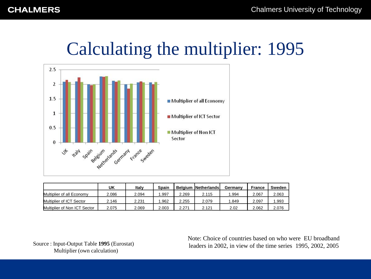## Calculating the multiplier: 1995



|                              | UK    | Italy | Spain |       | <b>Belgium INetherlandsl</b> | Germany | France | Sweden |
|------------------------------|-------|-------|-------|-------|------------------------------|---------|--------|--------|
| Multiplier of all Economy    | 2.086 | 2.094 | .997  | 2.269 | 2.115                        | .994    | 2.067  | 2.063  |
| Multiplier of ICT Sector     | 2.146 | 2.231 | .962  | 2.255 | 2.079                        | .849    | 2.097  | .993   |
| Multiplier of Non ICT Sector | 2.075 | 2.069 | 2.003 | 2.271 | 2.121                        | 2.02    | 2.062  | 2.076  |

Source : Input-Output Table **1995** (Eurostat) Multiplier (own calculation)

Note: Choice of countries based on who were EU broadband leaders in 2002, in view of the time series 1995, 2002, 2005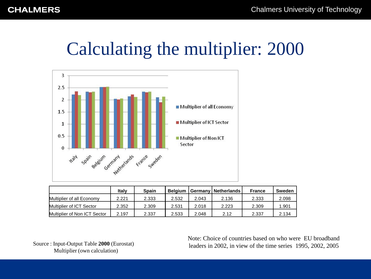## Calculating the multiplier: 2000



|                              | Italv | <b>Spain</b> | <b>Belaium</b> |       | Germany   Netherlands | <b>France</b> | Sweden |
|------------------------------|-------|--------------|----------------|-------|-----------------------|---------------|--------|
| Multiplier of all Economy    | 2.221 | 2.333        | 2.532          | 2.043 | 2.136                 | 2.333         | 2.098  |
| Multiplier of ICT Sector     | 2.352 | 2.309        | 2.531          | 2.018 | 2.223                 | 2.309         | 1.901  |
| Multiplier of Non ICT Sector | 2.197 | 2.337        | 2.533          | 2.048 | 2.12                  | 2.337         | 2.134  |

Source : Input-Output Table **2000** (Eurostat) Multiplier (own calculation)

Note: Choice of countries based on who were EU broadband leaders in 2002, in view of the time series 1995, 2002, 2005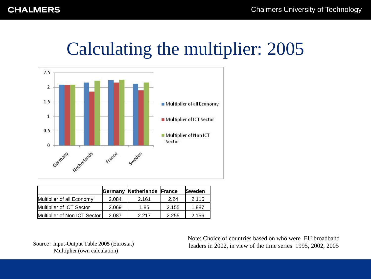### Calculating the multiplier: 2005



|                              |       | <b>Germany Netherlands France</b> |       | <b>Sweden</b> |
|------------------------------|-------|-----------------------------------|-------|---------------|
| Multiplier of all Economy    | 2.084 | 2.161                             | 2.24  | 2.115         |
| Multiplier of ICT Sector     | 2.069 | 1.85                              | 2.155 | 1.887         |
| Multiplier of Non ICT Sector | 2.087 | 2 2 1 7                           | 2.255 | 2.156         |

Source : Input-Output Table **2005** (Eurostat) Multiplier (own calculation)

Note: Choice of countries based on who were EU broadband leaders in 2002, in view of the time series 1995, 2002, 2005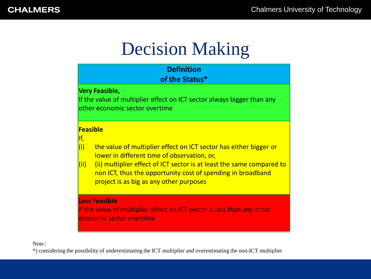## Decision Making

| <b>Definition</b><br>of the Status*                                                                                                                                                                                                                                                                                                           |
|-----------------------------------------------------------------------------------------------------------------------------------------------------------------------------------------------------------------------------------------------------------------------------------------------------------------------------------------------|
| <b>Very Feasible,</b><br>If the value of multiplier effect on ICT sector always bigger than any<br>other economic sector overtime                                                                                                                                                                                                             |
| <b>Feasible</b><br>lf,<br>(i)<br>the value of multiplier effect on ICT sector has either bigger or<br>lower in different time of observation, or,<br>(ii) multiplier effect of ICT sector is at least the same compared to<br>(iii)<br>non ICT, thus the opportunity cost of spending in broadband<br>project is as big as any other purposes |
| <b>Less Feasible</b><br>if the value of multiplier effect on ICT sector is less than any other<br>economic sector overtime                                                                                                                                                                                                                    |

Note :

\*) considering the possibility of underestimating the ICT multiplier and overestimating the non-ICT multiplier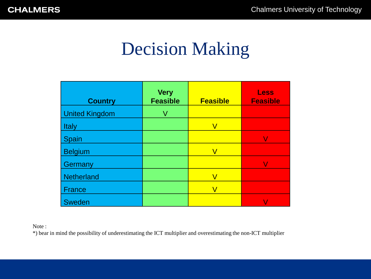## Decision Making

| <b>Country</b>        | <b>Very</b><br><b>Feasible</b> | <b>Feasible</b> | <b>Less</b><br><b>Feasible</b> |
|-----------------------|--------------------------------|-----------------|--------------------------------|
| <b>United Kingdom</b> | V                              |                 |                                |
| <b>Italy</b>          |                                |                 |                                |
| <b>Spain</b>          |                                |                 |                                |
| <b>Belgium</b>        |                                |                 |                                |
| <b>Germany</b>        |                                |                 |                                |
| <b>Netherland</b>     |                                |                 |                                |
| <b>France</b>         |                                | V               |                                |
| <b>Sweden</b>         |                                |                 |                                |

Note :

\*) bear in mind the possibility of underestimating the ICT multiplier and overestimating the non-ICT multiplier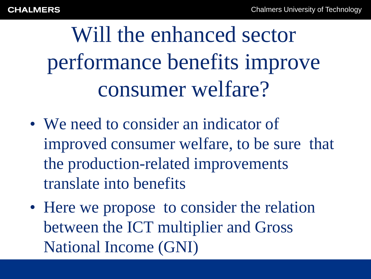Will the enhanced sector performance benefits improve consumer welfare?

- We need to consider an indicator of improved consumer welfare, to be sure that the production-related improvements translate into benefits
- Here we propose to consider the relation between the ICT multiplier and Gross National Income (GNI)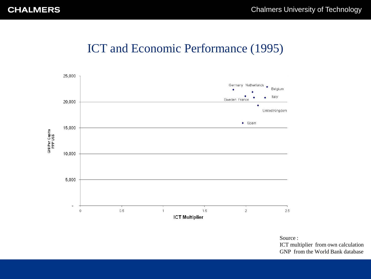### ICT and Economic Performance (1995)



Source :

ICT multiplier from own calculation GNP from the World Bank database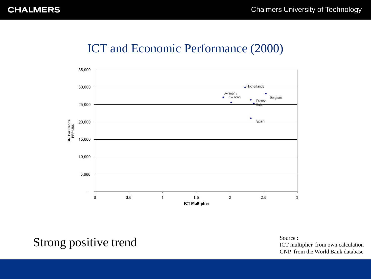#### ICT and Economic Performance (2000)



Strong positive trend

Source : ICT multiplier from own calculation GNP from the World Bank database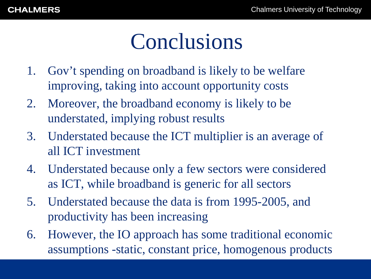# Conclusions

- 1. Gov't spending on broadband is likely to be welfare improving, taking into account opportunity costs
- 2. Moreover, the broadband economy is likely to be understated, implying robust results
- 3. Understated because the ICT multiplier is an average of all ICT investment
- 4. Understated because only a few sectors were considered as ICT, while broadband is generic for all sectors
- 5. Understated because the data is from 1995-2005, and productivity has been increasing
- 6. However, the IO approach has some traditional economic assumptions -static, constant price, homogenous products